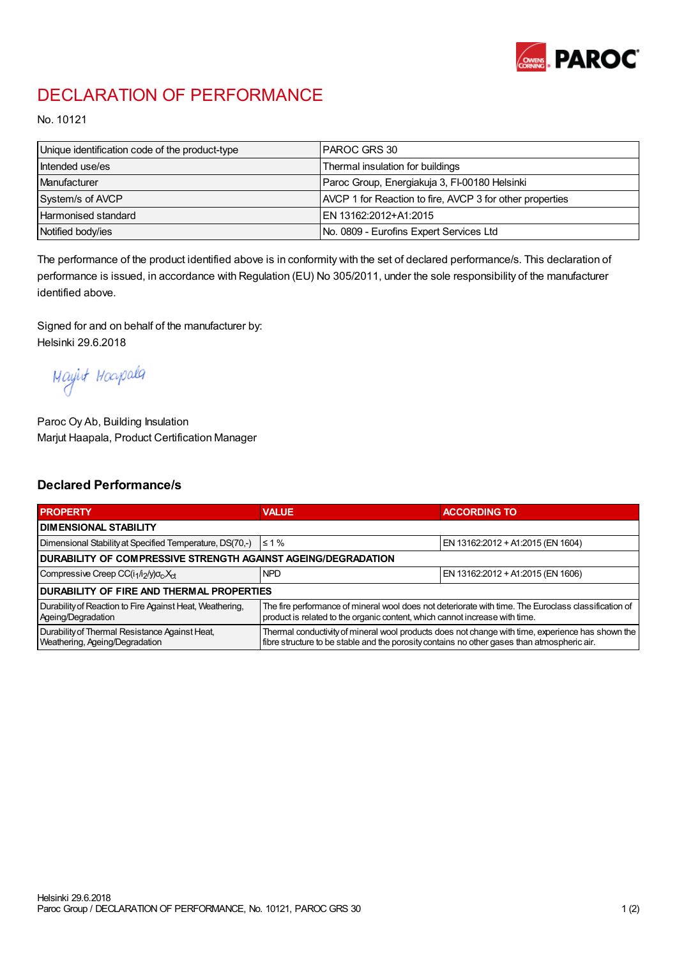

## DECLARATION OF PERFORMANCE

No. 10121

| Unique identification code of the product-type | I PAROC GRS 30                                           |
|------------------------------------------------|----------------------------------------------------------|
| Intended use/es                                | Thermal insulation for buildings                         |
| Manufacturer                                   | Paroc Group, Energiakuja 3, FI-00180 Helsinki            |
| System/s of AVCP                               | AVCP 1 for Reaction to fire, AVCP 3 for other properties |
| <b>Harmonised standard</b>                     | EN 13162:2012+A1:2015                                    |
| Notified body/ies                              | No. 0809 - Eurofins Expert Services Ltd                  |

The performance of the product identified above is in conformity with the set of declared performance/s. This declaration of performance is issued, in accordance with Regulation (EU) No 305/2011, under the sole responsibility of the manufacturer identified above.

Signed for and on behalf of the manufacturer by: Helsinki 29.6.2018

Mayirt Hoapala

Paroc Oy Ab, Building Insulation Marjut Haapala, Product Certification Manager

## Declared Performance/s

| <b>PROPERTY</b>                                                                  | <b>VALUE</b>                                                                                                                                                                                     | <b>ACCORDING TO</b>               |  |  |
|----------------------------------------------------------------------------------|--------------------------------------------------------------------------------------------------------------------------------------------------------------------------------------------------|-----------------------------------|--|--|
| <b>I DIMENSIONAL STABILITY</b>                                                   |                                                                                                                                                                                                  |                                   |  |  |
| Dimensional Stability at Specified Temperature, DS(70,-)                         | $\leq 1\%$                                                                                                                                                                                       | EN 13162:2012 + A1:2015 (EN 1604) |  |  |
| DURABILITY OF COMPRESSIVE STRENGTH AGAINST AGEING/DEGRADATION                    |                                                                                                                                                                                                  |                                   |  |  |
| Compressive Creep CC(i <sub>1</sub> /i <sub>2</sub> /y) $\sigma_c X_{ct}$        | <b>NPD</b>                                                                                                                                                                                       | EN 13162:2012 + A1:2015 (EN 1606) |  |  |
| <b>DURABILITY OF FIRE AND THERMAL PROPERTIES</b>                                 |                                                                                                                                                                                                  |                                   |  |  |
| Durability of Reaction to Fire Against Heat, Weathering,<br>Ageing/Degradation   | The fire performance of mineral wool does not deteriorate with time. The Euroclass classification of<br>product is related to the organic content, which cannot increase with time.              |                                   |  |  |
| Durability of Thermal Resistance Against Heat,<br>Weathering, Ageing/Degradation | Thermal conductivity of mineral wool products does not change with time, experience has shown the<br>fibre structure to be stable and the porosity contains no other gases than atmospheric air. |                                   |  |  |